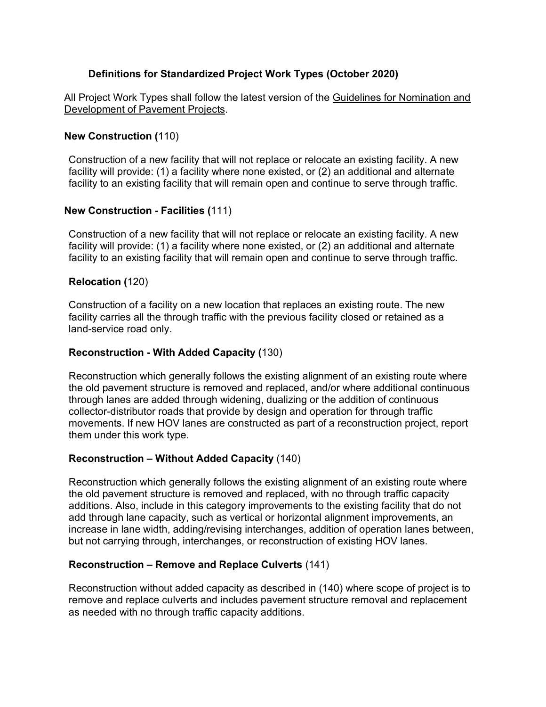# **Definitions for Standardized Project Work Types (October 2020)**

All Project Work Types shall follow the latest version of the Guidelines for Nomination and Development of Pavement Projects.

## **New Construction (**110)

Construction of a new facility that will not replace or relocate an existing facility. A new facility will provide: (1) a facility where none existed, or (2) an additional and alternate facility to an existing facility that will remain open and continue to serve through traffic.

### **New Construction - Facilities (**111)

Construction of a new facility that will not replace or relocate an existing facility. A new facility will provide: (1) a facility where none existed, or (2) an additional and alternate facility to an existing facility that will remain open and continue to serve through traffic.

### **Relocation (**120)

Construction of a facility on a new location that replaces an existing route. The new facility carries all the through traffic with the previous facility closed or retained as a land-service road only.

### **Reconstruction - With Added Capacity (**130)

Reconstruction which generally follows the existing alignment of an existing route where the old pavement structure is removed and replaced, and/or where additional continuous through lanes are added through widening, dualizing or the addition of continuous collector-distributor roads that provide by design and operation for through traffic movements. If new HOV lanes are constructed as part of a reconstruction project, report them under this work type.

## **Reconstruction – Without Added Capacity** (140)

Reconstruction which generally follows the existing alignment of an existing route where the old pavement structure is removed and replaced, with no through traffic capacity additions. Also, include in this category improvements to the existing facility that do not add through lane capacity, such as vertical or horizontal alignment improvements, an increase in lane width, adding/revising interchanges, addition of operation lanes between, but not carrying through, interchanges, or reconstruction of existing HOV lanes.

## **Reconstruction – Remove and Replace Culverts** (141)

Reconstruction without added capacity as described in (140) where scope of project is to remove and replace culverts and includes pavement structure removal and replacement as needed with no through traffic capacity additions.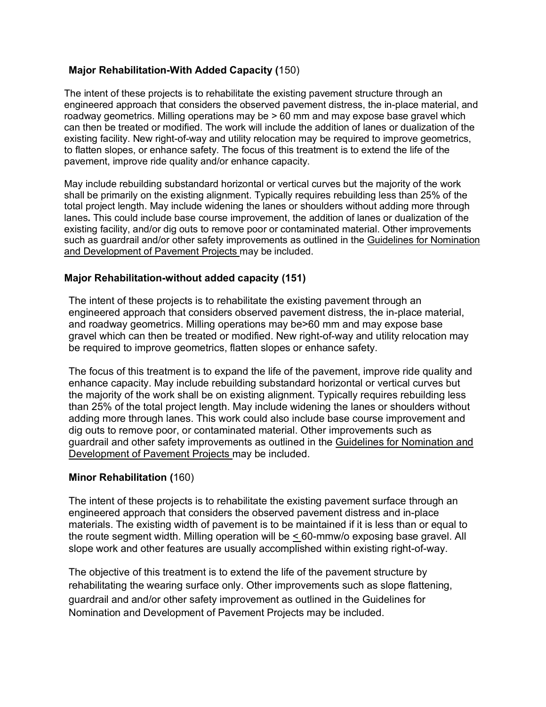# **Major Rehabilitation-With Added Capacity (**150)

The intent of these projects is to rehabilitate the existing pavement structure through an engineered approach that considers the observed pavement distress, the in-place material, and roadway geometrics. Milling operations may be > 60 mm and may expose base gravel which can then be treated or modified. The work will include the addition of lanes or dualization of the existing facility. New right-of-way and utility relocation may be required to improve geometrics, to flatten slopes, or enhance safety. The focus of this treatment is to extend the life of the pavement, improve ride quality and/or enhance capacity.

May include rebuilding substandard horizontal or vertical curves but the majority of the work shall be primarily on the existing alignment. Typically requires rebuilding less than 25% of the total project length. May include widening the lanes or shoulders without adding more through lanes**.** This could include base course improvement, the addition of lanes or dualization of the existing facility, and/or dig outs to remove poor or contaminated material. Other improvements such as guardrail and/or other safety improvements as outlined in the Guidelines for Nomination and Development of Pavement Projects may be included.

## **Major Rehabilitation-without added capacity (151)**

The intent of these projects is to rehabilitate the existing pavement through an engineered approach that considers observed pavement distress, the in-place material, and roadway geometrics. Milling operations may be>60 mm and may expose base gravel which can then be treated or modified. New right-of-way and utility relocation may be required to improve geometrics, flatten slopes or enhance safety.

The focus of this treatment is to expand the life of the pavement, improve ride quality and enhance capacity. May include rebuilding substandard horizontal or vertical curves but the majority of the work shall be on existing alignment. Typically requires rebuilding less than 25% of the total project length. May include widening the lanes or shoulders without adding more through lanes. This work could also include base course improvement and dig outs to remove poor, or contaminated material. Other improvements such as guardrail and other safety improvements as outlined in the Guidelines for Nomination and Development of Pavement Projects may be included.

## **Minor Rehabilitation (**160)

The intent of these projects is to rehabilitate the existing pavement surface through an engineered approach that considers the observed pavement distress and in-place materials. The existing width of pavement is to be maintained if it is less than or equal to the route segment width. Milling operation will be < 60-mmw/o exposing base gravel. All slope work and other features are usually accomplished within existing right-of-way.

The objective of this treatment is to extend the life of the pavement structure by rehabilitating the wearing surface only. Other improvements such as slope flattening, guardrail and and/or other safety improvement as outlined in the Guidelines for Nomination and Development of Pavement Projects may be included.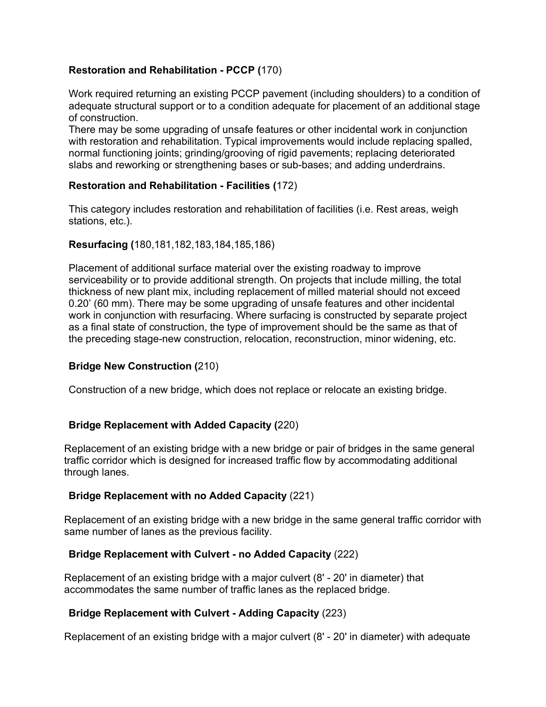## **Restoration and Rehabilitation - PCCP (**170)

Work required returning an existing PCCP pavement (including shoulders) to a condition of adequate structural support or to a condition adequate for placement of an additional stage of construction.

There may be some upgrading of unsafe features or other incidental work in conjunction with restoration and rehabilitation. Typical improvements would include replacing spalled, normal functioning joints; grinding/grooving of rigid pavements; replacing deteriorated slabs and reworking or strengthening bases or sub-bases; and adding underdrains.

### **Restoration and Rehabilitation - Facilities (**172)

This category includes restoration and rehabilitation of facilities (i.e. Rest areas, weigh stations, etc.).

#### **Resurfacing (**180,181,182,183,184,185,186)

Placement of additional surface material over the existing roadway to improve serviceability or to provide additional strength. On projects that include milling, the total thickness of new plant mix, including replacement of milled material should not exceed 0.20' (60 mm). There may be some upgrading of unsafe features and other incidental work in conjunction with resurfacing. Where surfacing is constructed by separate project as a final state of construction, the type of improvement should be the same as that of the preceding stage-new construction, relocation, reconstruction, minor widening, etc.

#### **Bridge New Construction (**210)

Construction of a new bridge, which does not replace or relocate an existing bridge.

#### **Bridge Replacement with Added Capacity (**220)

Replacement of an existing bridge with a new bridge or pair of bridges in the same general traffic corridor which is designed for increased traffic flow by accommodating additional through lanes.

#### **Bridge Replacement with no Added Capacity** (221)

Replacement of an existing bridge with a new bridge in the same general traffic corridor with same number of lanes as the previous facility.

#### **Bridge Replacement with Culvert - no Added Capacity** (222)

Replacement of an existing bridge with a major culvert (8' - 20' in diameter) that accommodates the same number of traffic lanes as the replaced bridge.

#### **Bridge Replacement with Culvert - Adding Capacity** (223)

Replacement of an existing bridge with a major culvert (8' - 20' in diameter) with adequate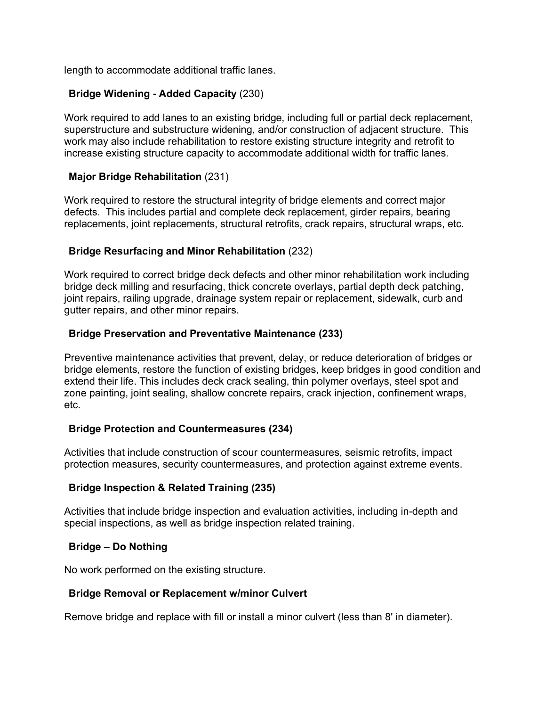length to accommodate additional traffic lanes.

### **Bridge Widening - Added Capacity** (230)

Work required to add lanes to an existing bridge, including full or partial deck replacement, superstructure and substructure widening, and/or construction of adjacent structure. This work may also include rehabilitation to restore existing structure integrity and retrofit to increase existing structure capacity to accommodate additional width for traffic lanes.

#### **Major Bridge Rehabilitation** (231)

Work required to restore the structural integrity of bridge elements and correct major defects. This includes partial and complete deck replacement, girder repairs, bearing replacements, joint replacements, structural retrofits, crack repairs, structural wraps, etc.

### **Bridge Resurfacing and Minor Rehabilitation** (232)

Work required to correct bridge deck defects and other minor rehabilitation work including bridge deck milling and resurfacing, thick concrete overlays, partial depth deck patching, joint repairs, railing upgrade, drainage system repair or replacement, sidewalk, curb and gutter repairs, and other minor repairs.

### **Bridge Preservation and Preventative Maintenance (233)**

Preventive maintenance activities that prevent, delay, or reduce deterioration of bridges or bridge elements, restore the function of existing bridges, keep bridges in good condition and extend their life. This includes deck crack sealing, thin polymer overlays, steel spot and zone painting, joint sealing, shallow concrete repairs, crack injection, confinement wraps, etc.

#### **Bridge Protection and Countermeasures (234)**

Activities that include construction of scour countermeasures, seismic retrofits, impact protection measures, security countermeasures, and protection against extreme events.

#### **Bridge Inspection & Related Training (235)**

Activities that include bridge inspection and evaluation activities, including in-depth and special inspections, as well as bridge inspection related training.

#### **Bridge – Do Nothing**

No work performed on the existing structure.

#### **Bridge Removal or Replacement w/minor Culvert**

Remove bridge and replace with fill or install a minor culvert (less than 8' in diameter).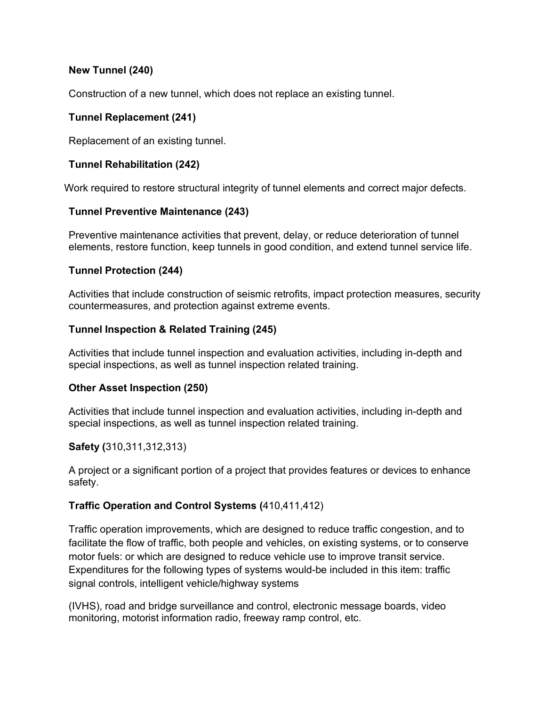## **New Tunnel (240)**

Construction of a new tunnel, which does not replace an existing tunnel.

# **Tunnel Replacement (241)**

Replacement of an existing tunnel.

# **Tunnel Rehabilitation (242)**

Work required to restore structural integrity of tunnel elements and correct major defects.

# **Tunnel Preventive Maintenance (243)**

Preventive maintenance activities that prevent, delay, or reduce deterioration of tunnel elements, restore function, keep tunnels in good condition, and extend tunnel service life.

# **Tunnel Protection (244)**

Activities that include construction of seismic retrofits, impact protection measures, security countermeasures, and protection against extreme events.

# **Tunnel Inspection & Related Training (245)**

Activities that include tunnel inspection and evaluation activities, including in-depth and special inspections, as well as tunnel inspection related training.

## **Other Asset Inspection (250)**

Activities that include tunnel inspection and evaluation activities, including in-depth and special inspections, as well as tunnel inspection related training.

# **Safety (**310,311,312,313)

A project or a significant portion of a project that provides features or devices to enhance safety.

# **Traffic Operation and Control Systems (**410,411,412)

Traffic operation improvements, which are designed to reduce traffic congestion, and to facilitate the flow of traffic, both people and vehicles, on existing systems, or to conserve motor fuels: or which are designed to reduce vehicle use to improve transit service. Expenditures for the following types of systems would-be included in this item: traffic signal controls, intelligent vehicle/highway systems

(IVHS), road and bridge surveillance and control, electronic message boards, video monitoring, motorist information radio, freeway ramp control, etc.